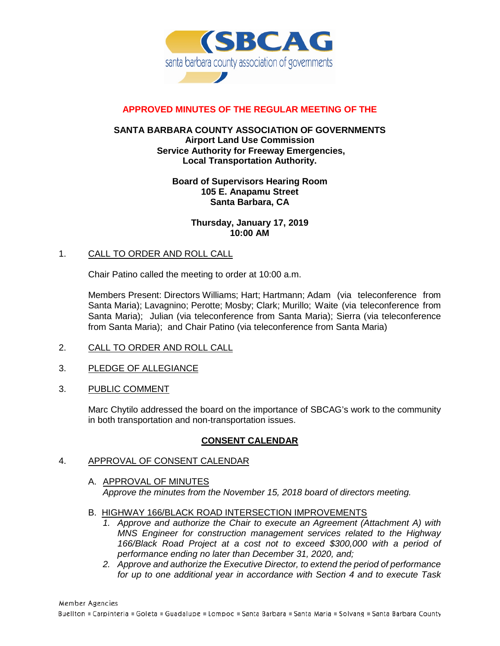

# **APPROVED MINUTES OF THE REGULAR MEETING OF THE**

## **SANTA BARBARA COUNTY ASSOCIATION OF GOVERNMENTS Airport Land Use Commission Service Authority for Freeway Emergencies, Local Transportation Authority.**

### **Board of Supervisors Hearing Room 105 E. Anapamu Street Santa Barbara, CA**

**Thursday, January 17, 2019 10:00 AM**

## 1. CALL TO ORDER AND ROLL CALL

Chair Patino called the meeting to order at 10:00 a.m.

Members Present: Directors Williams; Hart; Hartmann; Adam (via teleconference from Santa Maria); Lavagnino; Perotte; Mosby; Clark; Murillo; Waite (via teleconference from Santa Maria); Julian (via teleconference from Santa Maria); Sierra (via teleconference from Santa Maria); and Chair Patino (via teleconference from Santa Maria)

- 2. CALL TO ORDER AND ROLL CALL
- 3. PLEDGE OF ALLEGIANCE
- 3. PUBLIC COMMENT

Marc Chytilo addressed the board on the importance of SBCAG's work to the community in both transportation and non-transportation issues.

## **CONSENT CALENDAR**

- 4. APPROVAL OF CONSENT CALENDAR
	- A. APPROVAL OF MINUTES *Approve the minutes from the November 15, 2018 board of directors meeting.*
	- B. HIGHWAY 166/BLACK ROAD INTERSECTION IMPROVEMENTS
		- *1. Approve and authorize the Chair to execute an Agreement (Attachment A) with MNS Engineer for construction management services related to the Highway 166/Black Road Project at a cost not to exceed \$300,000 with a period of performance ending no later than December 31, 2020, and;*
		- *2. Approve and authorize the Executive Director, to extend the period of performance for up to one additional year in accordance with Section 4 and to execute Task*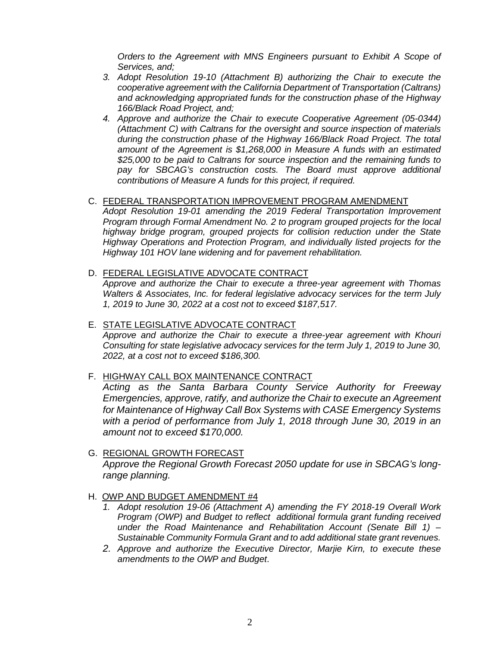*Orders to the Agreement with MNS Engineers pursuant to Exhibit A Scope of Services, and;*

- *3. Adopt Resolution 19-10 (Attachment B) authorizing the Chair to execute the cooperative agreement with the California Department of Transportation (Caltrans) and acknowledging appropriated funds for the construction phase of the Highway 166/Black Road Project, and;*
- *4. Approve and authorize the Chair to execute Cooperative Agreement (05-0344) (Attachment C) with Caltrans for the oversight and source inspection of materials during the construction phase of the Highway 166/Black Road Project. The total amount of the Agreement is \$1,268,000 in Measure A funds with an estimated \$25,000 to be paid to Caltrans for source inspection and the remaining funds to pay for SBCAG's construction costs. The Board must approve additional contributions of Measure A funds for this project, if required.*
- C. FEDERAL TRANSPORTATION IMPROVEMENT PROGRAM AMENDMENT *Adopt Resolution 19-01 amending the 2019 Federal Transportation Improvement Program through Formal Amendment No. 2 to program grouped projects for the local highway bridge program, grouped projects for collision reduction under the State Highway Operations and Protection Program, and individually listed projects for the Highway 101 HOV lane widening and for pavement rehabilitation.*
- D. FEDERAL LEGISLATIVE ADVOCATE CONTRACT

*Approve and authorize the Chair to execute a three-year agreement with Thomas Walters & Associates, Inc. for federal legislative advocacy services for the term July 1, 2019 to June 30, 2022 at a cost not to exceed \$187,517.*

- E. STATE LEGISLATIVE ADVOCATE CONTRACT *Approve and authorize the Chair to execute a three-year agreement with Khouri Consulting for state legislative advocacy services for the term July 1, 2019 to June 30, 2022, at a cost not to exceed \$186,300.*
- F. HIGHWAY CALL BOX MAINTENANCE CONTRACT

*Acting as the Santa Barbara County Service Authority for Freeway Emergencies, approve, ratify, and authorize the Chair to execute an Agreement for Maintenance of Highway Call Box Systems with CASE Emergency Systems with a period of performance from July 1, 2018 through June 30, 2019 in an amount not to exceed \$170,000.*

- G. REGIONAL GROWTH FORECAST *Approve the Regional Growth Forecast 2050 update for use in SBCAG's longrange planning.*
- H. OWP AND BUDGET AMENDMENT #4
	- *1. Adopt resolution 19-06 (Attachment A) amending the FY 2018-19 Overall Work Program (OWP) and Budget to reflect additional formula grant funding received under the Road Maintenance and Rehabilitation Account (Senate Bill 1) – Sustainable Community Formula Grant and to add additional state grant revenues.*
	- *2. Approve and authorize the Executive Director, Marjie Kirn, to execute these amendments to the OWP and Budget*.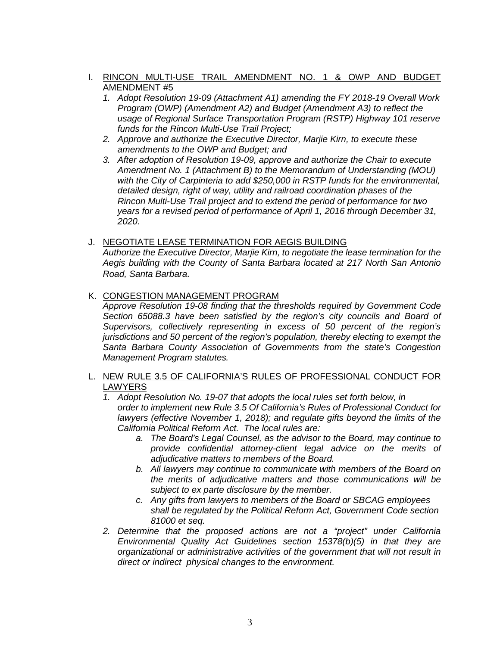# I. RINCON MULTI-USE TRAIL AMENDMENT NO. 1 & OWP AND BUDGET AMENDMENT #5

- *1. Adopt Resolution 19-09 (Attachment A1) amending the FY 2018-19 Overall Work Program (OWP) (Amendment A2) and Budget (Amendment A3) to reflect the usage of Regional Surface Transportation Program (RSTP) Highway 101 reserve funds for the Rincon Multi-Use Trail Project;*
- *2. Approve and authorize the Executive Director, Marjie Kirn, to execute these amendments to the OWP and Budget; and*
- *3. After adoption of Resolution 19-09, approve and authorize the Chair to execute Amendment No. 1 (Attachment B) to the Memorandum of Understanding (MOU) with the City of Carpinteria to add \$250,000 in RSTP funds for the environmental, detailed design, right of way, utility and railroad coordination phases of the Rincon Multi-Use Trail project and to extend the period of performance for two years for a revised period of performance of April 1, 2016 through December 31, 2020.*
- J. NEGOTIATE LEASE TERMINATION FOR AEGIS BUILDING *Authorize the Executive Director, Marjie Kirn, to negotiate the lease termination for the Aegis building with the County of Santa Barbara located at 217 North San Antonio Road, Santa Barbara.*
- K. CONGESTION MANAGEMENT PROGRAM

*Approve Resolution 19-08 finding that the thresholds required by Government Code Section 65088.3 have been satisfied by the region's city councils and Board of Supervisors, collectively representing in excess of 50 percent of the region's jurisdictions and 50 percent of the region's population, thereby electing to exempt the Santa Barbara County Association of Governments from the state's Congestion Management Program statutes.*

- L. NEW RULE 3.5 OF CALIFORNIA'S RULES OF PROFESSIONAL CONDUCT FOR **LAWYERS** 
	- *1. Adopt Resolution No. 19-07 that adopts the local rules set forth below, in order to implement new Rule 3.5 Of California's Rules of Professional Conduct for lawyers (effective November 1, 2018); and regulate gifts beyond the limits of the California Political Reform Act. The local rules are:* 
		- *a. The Board's Legal Counsel, as the advisor to the Board, may continue to provide confidential attorney-client legal advice on the merits of adjudicative matters to members of the Board.*
		- *b. All lawyers may continue to communicate with members of the Board on the merits of adjudicative matters and those communications will be subject to ex parte disclosure by the member.*
		- *c. Any gifts from lawyers to members of the Board or SBCAG employees shall be regulated by the Political Reform Act, Government Code section 81000 et seq.*
	- *2. Determine that the proposed actions are not a "project" under California Environmental Quality Act Guidelines section 15378(b)(5) in that they are organizational or administrative activities of the government that will not result in direct or indirect physical changes to the environment.*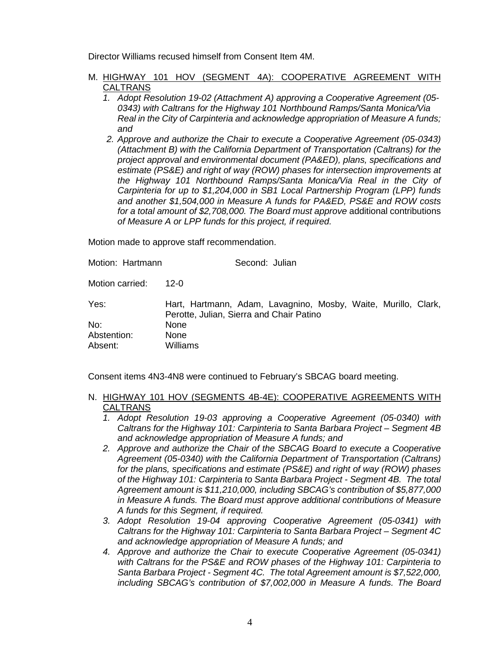Director Williams recused himself from Consent Item 4M.

- M. HIGHWAY 101 HOV (SEGMENT 4A): COOPERATIVE AGREEMENT WITH **CALTRANS** 
	- *1. Adopt Resolution 19-02 (Attachment A) approving a Cooperative Agreement (05- 0343) with Caltrans for the Highway 101 Northbound Ramps/Santa Monica/Via Real in the City of Carpinteria and acknowledge appropriation of Measure A funds; and*
	- *2. Approve and authorize the Chair to execute a Cooperative Agreement (05-0343) (Attachment B) with the California Department of Transportation (Caltrans) for the project approval and environmental document (PA&ED), plans, specifications and estimate (PS&E) and right of way (ROW) phases for intersection improvements at the Highway 101 Northbound Ramps/Santa Monica/Via Real in the City of Carpinteria for up to \$1,204,000 in SB1 Local Partnership Program (LPP) funds and another \$1,504,000 in Measure A funds for PA&ED, PS&E and ROW costs for a total amount of \$2,708,000. The Board must approve* additional contributions *of Measure A or LPP funds for this project, if required.*

Motion made to approve staff recommendation.

Motion: Hartmann Second: Julian Motion carried: 12-0 Yes: Hart, Hartmann, Adam, Lavagnino, Mosby, Waite, Murillo, Clark, Perotte, Julian, Sierra and Chair Patino No: None Abstention: None Absent: Williams

Consent items 4N3-4N8 were continued to February's SBCAG board meeting.

## N. HIGHWAY 101 HOV (SEGMENTS 4B-4E): COOPERATIVE AGREEMENTS WITH CALTRANS

- *1. Adopt Resolution 19-03 approving a Cooperative Agreement (05-0340) with Caltrans for the Highway 101: Carpinteria to Santa Barbara Project – Segment 4B and acknowledge appropriation of Measure A funds; and*
- *2. Approve and authorize the Chair of the SBCAG Board to execute a Cooperative Agreement (05-0340) with the California Department of Transportation (Caltrans) for the plans, specifications and estimate (PS&E) and right of way (ROW) phases of the Highway 101: Carpinteria to Santa Barbara Project - Segment 4B. The total Agreement amount is \$11,210,000, including SBCAG's contribution of \$5,877,000 in Measure A funds. The Board must approve additional contributions of Measure A funds for this Segment, if required.*
- *3. Adopt Resolution 19-04 approving Cooperative Agreement (05-0341) with Caltrans for the Highway 101: Carpinteria to Santa Barbara Project – Segment 4C and acknowledge appropriation of Measure A funds; and*
- *4. Approve and authorize the Chair to execute Cooperative Agreement (05-0341) with Caltrans for the PS&E and ROW phases of the Highway 101: Carpinteria to Santa Barbara Project - Segment 4C. The total Agreement amount is \$7,522,000, including SBCAG's contribution of \$7,002,000 in Measure A funds. The Board*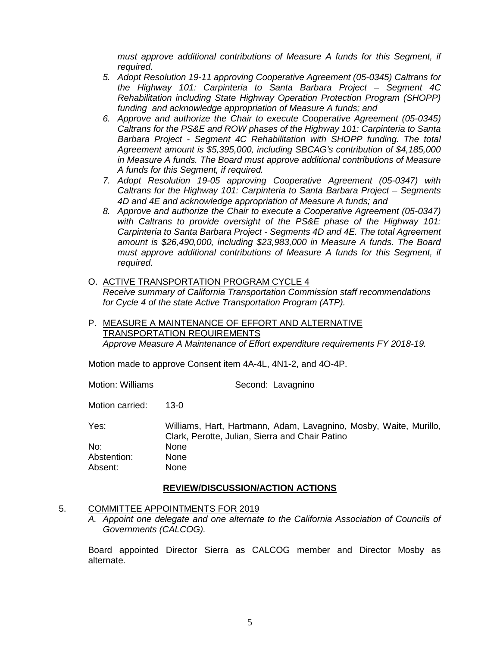*must approve additional contributions of Measure A funds for this Segment, if required.*

- *5. Adopt Resolution 19-11 approving Cooperative Agreement (05-0345) Caltrans for the Highway 101: Carpinteria to Santa Barbara Project – Segment 4C Rehabilitation including State Highway Operation Protection Program (SHOPP) funding and acknowledge appropriation of Measure A funds; and*
- *6. Approve and authorize the Chair to execute Cooperative Agreement (05-0345) Caltrans for the PS&E and ROW phases of the Highway 101: Carpinteria to Santa Barbara Project - Segment 4C Rehabilitation with SHOPP funding. The total Agreement amount is \$5,395,000, including SBCAG's contribution of \$4,185,000 in Measure A funds. The Board must approve additional contributions of Measure A funds for this Segment, if required.*
- *7. Adopt Resolution 19-05 approving Cooperative Agreement (05-0347) with Caltrans for the Highway 101: Carpinteria to Santa Barbara Project – Segments 4D and 4E and acknowledge appropriation of Measure A funds; and*
- *8. Approve and authorize the Chair to execute a Cooperative Agreement (05-0347) with Caltrans to provide oversight of the PS&E phase of the Highway 101: Carpinteria to Santa Barbara Project - Segments 4D and 4E. The total Agreement amount is \$26,490,000, including \$23,983,000 in Measure A funds. The Board must approve additional contributions of Measure A funds for this Segment, if required.*
- O. ACTIVE TRANSPORTATION PROGRAM CYCLE 4 *Receive summary of California Transportation Commission staff recommendations for Cycle 4 of the state Active Transportation Program (ATP).*
- P. MEASURE A MAINTENANCE OF EFFORT AND ALTERNATIVE TRANSPORTATION REQUIREMENTS *Approve Measure A Maintenance of Effort expenditure requirements FY 2018-19.*

Motion made to approve Consent item 4A-4L, 4N1-2, and 4O-4P.

Motion: Williams Second: Lavagnino

Motion carried: 13-0

Yes: Williams, Hart, Hartmann, Adam, Lavagnino, Mosby, Waite, Murillo, Clark, Perotte, Julian, Sierra and Chair Patino No: None Abstention: None Absent: None

## **REVIEW/DISCUSSION/ACTION ACTIONS**

#### 5. COMMITTEE APPOINTMENTS FOR 2019

*A. Appoint one delegate and one alternate to the California Association of Councils of Governments (CALCOG).*

Board appointed Director Sierra as CALCOG member and Director Mosby as alternate.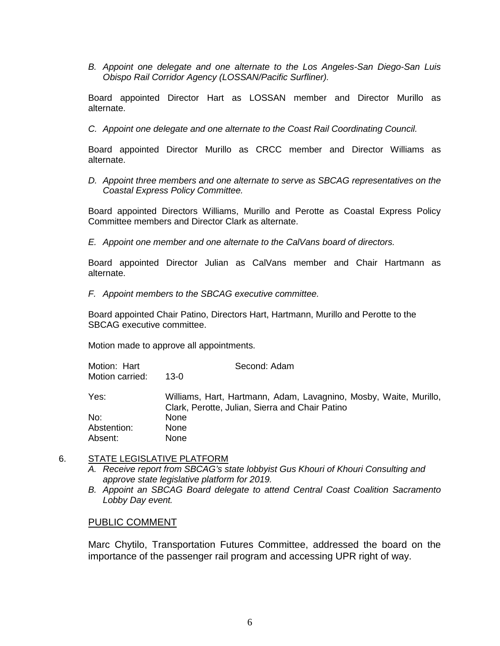*B. Appoint one delegate and one alternate to the Los Angeles-San Diego-San Luis Obispo Rail Corridor Agency (LOSSAN/Pacific Surfliner).* 

Board appointed Director Hart as LOSSAN member and Director Murillo as alternate.

*C. Appoint one delegate and one alternate to the Coast Rail Coordinating Council.*

Board appointed Director Murillo as CRCC member and Director Williams as alternate.

*D. Appoint three members and one alternate to serve as SBCAG representatives on the Coastal Express Policy Committee.*

Board appointed Directors Williams, Murillo and Perotte as Coastal Express Policy Committee members and Director Clark as alternate.

*E. Appoint one member and one alternate to the CalVans board of directors.*

Board appointed Director Julian as CalVans member and Chair Hartmann as alternate.

*F. Appoint members to the SBCAG executive committee.*

Board appointed Chair Patino, Directors Hart, Hartmann, Murillo and Perotte to the SBCAG executive committee.

Motion made to approve all appointments.

| Motion: Hart    | Second: Adam                                                      |
|-----------------|-------------------------------------------------------------------|
| Motion carried: | 13-0                                                              |
|                 |                                                                   |
| Yes:            | Williams, Hart, Hartmann, Adam, Lavagnino, Mosby, Waite, Murillo, |
|                 | Clark, Perotte, Julian, Sierra and Chair Patino                   |
| No:             | None                                                              |
| Abstention:     | None                                                              |
| Absent:         | <b>None</b>                                                       |

#### 6. STATE LEGISLATIVE PLATFORM

- *A. Receive report from SBCAG's state lobbyist Gus Khouri of Khouri Consulting and approve state legislative platform for 2019.*
- *B. Appoint an SBCAG Board delegate to attend Central Coast Coalition Sacramento Lobby Day event.*

#### PUBLIC COMMENT

Marc Chytilo, Transportation Futures Committee, addressed the board on the importance of the passenger rail program and accessing UPR right of way.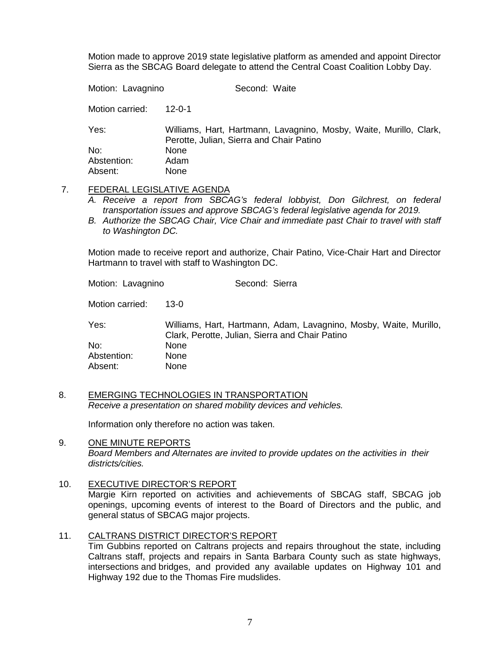Motion made to approve 2019 state legislative platform as amended and appoint Director Sierra as the SBCAG Board delegate to attend the Central Coast Coalition Lobby Day.

Motion: Lavagnino Second: Waite Motion carried: 12-0-1 Yes: Williams, Hart, Hartmann, Lavagnino, Mosby, Waite, Murillo, Clark, Perotte, Julian, Sierra and Chair Patino No: None Abstention: Adam Absent: None

- 7. FEDERAL LEGISLATIVE AGENDA
	- *A. Receive a report from SBCAG's federal lobbyist, Don Gilchrest, on federal transportation issues and approve SBCAG's federal legislative agenda for 2019.*
	- *B. Authorize the SBCAG Chair, Vice Chair and immediate past Chair to travel with staff to Washington DC.*

Motion made to receive report and authorize, Chair Patino, Vice-Chair Hart and Director Hartmann to travel with staff to Washington DC.

Motion: Lavagnino Second: Sierra

Motion carried: 13-0

Yes: Williams, Hart, Hartmann, Adam, Lavagnino, Mosby, Waite, Murillo, Clark, Perotte, Julian, Sierra and Chair Patino No: None Abstention: None<br>Absent: None Absent:

8. EMERGING TECHNOLOGIES IN TRANSPORTATION *Receive a presentation on shared mobility devices and vehicles.*

Information only therefore no action was taken.

#### 9. ONE MINUTE REPORTS *Board Members and Alternates are invited to provide updates on the activities in their districts/cities.*

10. EXECUTIVE DIRECTOR'S REPORT

Margie Kirn reported on activities and achievements of SBCAG staff, SBCAG job openings, upcoming events of interest to the Board of Directors and the public, and general status of SBCAG major projects.

#### 11. CALTRANS DISTRICT DIRECTOR'S REPORT

Tim Gubbins reported on Caltrans projects and repairs throughout the state, including Caltrans staff, projects and repairs in Santa Barbara County such as state highways, intersections and bridges, and provided any available updates on Highway 101 and Highway 192 due to the Thomas Fire mudslides.